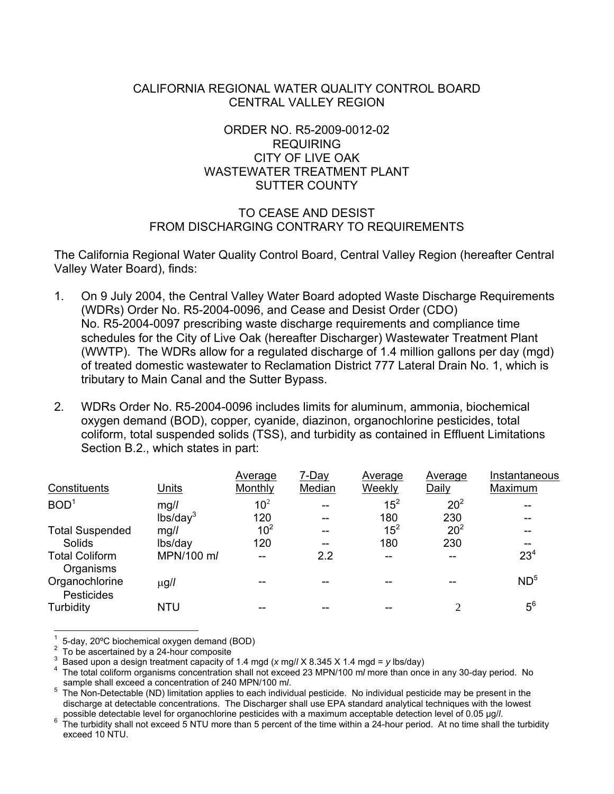# CALIFORNIA REGIONAL WATER QUALITY CONTROL BOARD CENTRAL VALLEY REGION

# ORDER NO. R5-2009-0012-02 REQUIRING CITY OF LIVE OAK WASTEWATER TREATMENT PLANT SUTTER COUNTY

# TO CEASE AND DESIST FROM DISCHARGING CONTRARY TO REQUIREMENTS

The California Regional Water Quality Control Board, Central Valley Region (hereafter Central Valley Water Board), finds:

- 1. On 9 July 2004, the Central Valley Water Board adopted Waste Discharge Requirements (WDRs) Order No. R5-2004-0096, and Cease and Desist Order (CDO) No. R5-2004-0097 prescribing waste discharge requirements and compliance time schedules for the City of Live Oak (hereafter Discharger) Wastewater Treatment Plant (WWTP). The WDRs allow for a regulated discharge of 1.4 million gallons per day (mgd) of treated domestic wastewater to Reclamation District 777 Lateral Drain No. 1, which is tributary to Main Canal and the Sutter Bypass.
- 2. WDRs Order No. R5-2004-0096 includes limits for aluminum, ammonia, biochemical oxygen demand (BOD), copper, cyanide, diazinon, organochlorine pesticides, total coliform, total suspended solids (TSS), and turbidity as contained in Effluent Limitations Section B.2., which states in part:

|                                    |                      | Average         | 7-Day  | Average  | Average         | Instantaneous   |
|------------------------------------|----------------------|-----------------|--------|----------|-----------------|-----------------|
| <b>Constituents</b>                | <b>Units</b>         | Monthly         | Median | Weekly   | Daily           | Maximum         |
| BOD <sup>1</sup>                   | mg/l                 | 10 <sup>2</sup> | --     | $15^2$   | 20 <sup>2</sup> |                 |
|                                    | lbs/day <sup>3</sup> | 120             | --     | 180      | 230             |                 |
| <b>Total Suspended</b>             | mg/l                 | 10 <sup>2</sup> | --     | $15^{2}$ | 20 <sup>2</sup> |                 |
| Solids                             | lbs/day              | 120             | --     | 180      | 230             |                 |
| <b>Total Coliform</b><br>Organisms | MPN/100 m/           | --              | 2.2    | --       |                 | 23 <sup>4</sup> |
| Organochlorine<br>Pesticides       | $\mu$ g/l            |                 |        |          |                 | ND <sup>5</sup> |
| Turbidity                          | <b>NTU</b>           |                 |        |          | ↑               | $5^6$           |

 $\overline{a}$ 1 5-day, 20ºC biochemical oxygen demand (BOD)

<sup>2</sup> To be ascertained by a 24-hour composite

<sup>3</sup> Based upon a design treatment capacity of 1.4 mgd (*x* mg/*l* X 8.345 X 1.4 mgd = *y* lbs/day) 4

The total coliform organisms concentration shall not exceed 23 MPN/100 m*l* more than once in any 30-day period. No sample shall exceed a concentration of 240 MPN/100 m*l*.<br><sup>5</sup> The Non Detectable (ND) limitation applies to each individent

The Non-Detectable (ND) limitation applies to each individual pesticide. No individual pesticide may be present in the discharge at detectable concentrations. The Discharger shall use EPA standard analytical techniques with the lowest possible detectable level for organochlorine pesticides with a maximum acceptable detection level of 0.05 µg/*l*.<br><sup>6</sup> The turbidity shall not oveged 5 NTLL mere than 5 percent of the time within a 24 hour period. At no tim

The turbidity shall not exceed 5 NTU more than 5 percent of the time within a 24-hour period. At no time shall the turbidity exceed 10 NTU.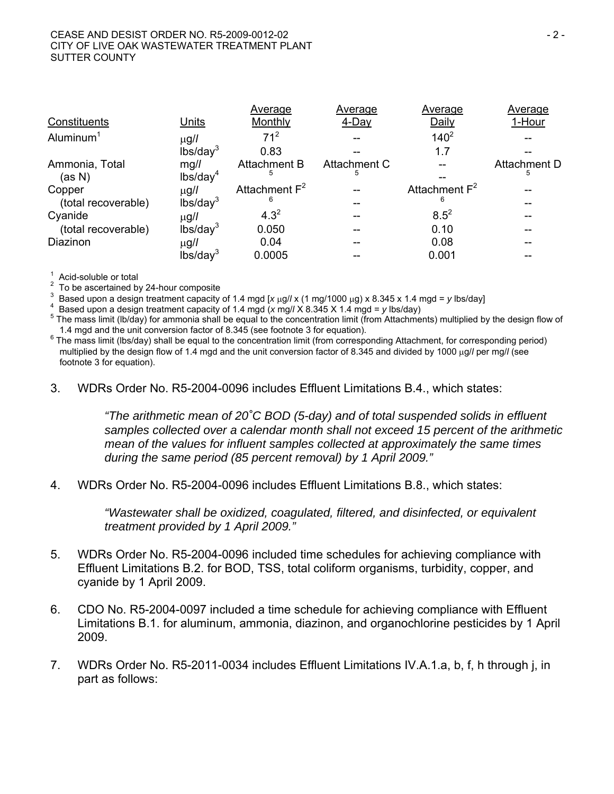|                          |                              | Average                  | Average            | Average          | Average           |
|--------------------------|------------------------------|--------------------------|--------------------|------------------|-------------------|
| Constituents             | Units                        | Monthly                  | 4-Day              | Daily            | 1-Hour            |
| Aluminum $1$             | $\mu$ g/l                    | 71 <sup>2</sup>          |                    | $140^{2}$        |                   |
|                          | lbs/day <sup>3</sup>         | 0.83                     |                    | 1.7              |                   |
| Ammonia, Total<br>(as N) | mg/l<br>lbs/day <sup>4</sup> | <b>Attachment B</b><br>5 | Attachment C<br>5. |                  | Attachment D<br>b |
| Copper                   | $\mu$ g/l                    | Attachment $F^2$         |                    | Attachment $F^2$ |                   |
| (total recoverable)      | lbs/day <sup>3</sup>         | 6                        |                    | 6                |                   |
| Cyanide                  | $\mu$ g/l                    | $4.3^{2}$                |                    | $8.5^{2}$        |                   |
| (total recoverable)      | lbs/day <sup>3</sup>         | 0.050                    |                    | 0.10             |                   |
| Diazinon                 | $\mu$ g/l                    | 0.04                     |                    | 0.08             |                   |
|                          | lbs/day <sup>3</sup>         | 0.0005                   |                    | 0.001            |                   |

1 Acid-soluble or total

2 To be ascertained by 24-hour composite

3 Based upon a design treatment capacity of 1.4 mgd  $[x \mu g / x (1 \mu g / 1000 \mu g) x 8.345 x 1.4 \mu g d = y \text{ lbs/day}$ 

Based upon a design treatment capacity of 1.4 mgd (*x* mg/*l* X 8.345 X 1.4 mgd = *y* lbs/day) 5

 $5$  The mass limit (lb/day) for ammonia shall be equal to the concentration limit (from Attachments) multiplied by the design flow of 1.4 mgd and the unit conversion factor of 8.345 (see footnote 3 for equation).

 $6$  The mass limit (lbs/day) shall be equal to the concentration limit (from corresponding Attachment, for corresponding period) multiplied by the design flow of 1.4 mgd and the unit conversion factor of 8.345 and divided by 1000 µg// per mg// (see footnote 3 for equation).

3. WDRs Order No. R5-2004-0096 includes Effluent Limitations B.4., which states:

*"The arithmetic mean of 20˚C BOD (5-day) and of total suspended solids in effluent samples collected over a calendar month shall not exceed 15 percent of the arithmetic mean of the values for influent samples collected at approximately the same times during the same period (85 percent removal) by 1 April 2009."* 

4. WDRs Order No. R5-2004-0096 includes Effluent Limitations B.8., which states:

*"Wastewater shall be oxidized, coagulated, filtered, and disinfected, or equivalent treatment provided by 1 April 2009."* 

- 5. WDRs Order No. R5-2004-0096 included time schedules for achieving compliance with Effluent Limitations B.2. for BOD, TSS, total coliform organisms, turbidity, copper, and cyanide by 1 April 2009.
- 6. CDO No. R5-2004-0097 included a time schedule for achieving compliance with Effluent Limitations B.1. for aluminum, ammonia, diazinon, and organochlorine pesticides by 1 April 2009.
- 7. WDRs Order No. R5-2011-0034 includes Effluent Limitations IV.A.1.a, b, f, h through j, in part as follows: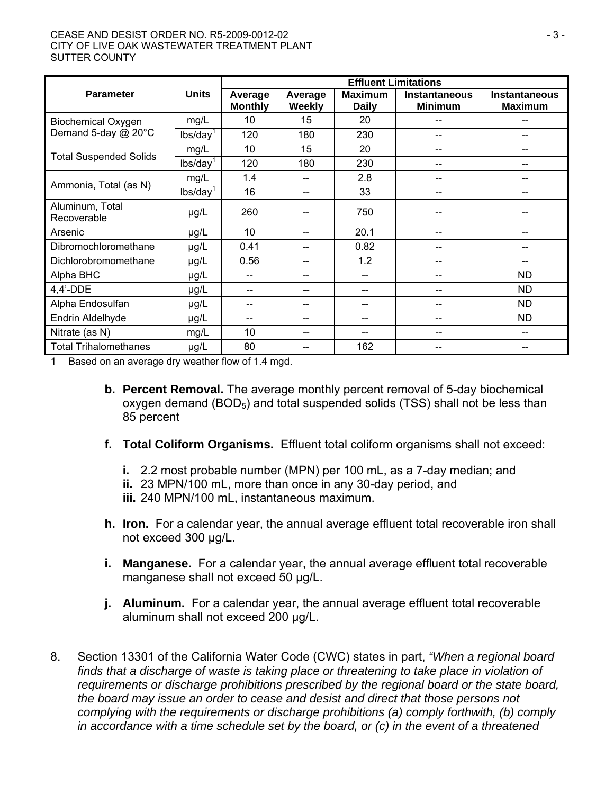#### CEASE AND DESIST ORDER NO. R5-2009-0012-02 - 3 - CITY OF LIVE OAK WASTEWATER TREATMENT PLANT SUTTER COUNTY

|                                |                      | <b>Effluent Limitations</b> |                          |                                |                                        |                                        |  |
|--------------------------------|----------------------|-----------------------------|--------------------------|--------------------------------|----------------------------------------|----------------------------------------|--|
| <b>Parameter</b>               | <b>Units</b>         | Average<br><b>Monthly</b>   | Average<br><b>Weekly</b> | <b>Maximum</b><br><b>Daily</b> | <b>Instantaneous</b><br><b>Minimum</b> | <b>Instantaneous</b><br><b>Maximum</b> |  |
| <b>Biochemical Oxygen</b>      | mg/L                 | 10                          | 15                       | 20                             |                                        | --                                     |  |
| Demand 5-day @ 20°C            | lbs/day <sup>1</sup> | 120                         | 180                      | 230                            | --                                     | $-$                                    |  |
| <b>Total Suspended Solids</b>  | mg/L                 | 10                          | 15                       | 20                             | --                                     |                                        |  |
|                                | lbs/day <sup>1</sup> | 120                         | 180                      | 230                            | --                                     | --                                     |  |
|                                | mg/L                 | 1.4                         | --                       | 2.8                            |                                        |                                        |  |
| Ammonia, Total (as N)          | lbs/day <sup>1</sup> | 16                          | --                       | 33                             | --                                     | --                                     |  |
| Aluminum, Total<br>Recoverable | $\mu$ g/L            | 260                         |                          | 750                            |                                        |                                        |  |
| Arsenic                        | $\mu$ g/L            | 10                          | --                       | 20.1                           | --                                     | --                                     |  |
| Dibromochloromethane           | $\mu g/L$            | 0.41                        | --                       | 0.82                           | --                                     | --                                     |  |
| Dichlorobromomethane           | µg/L                 | 0.56                        | --                       | 1.2                            | --                                     |                                        |  |
| Alpha BHC                      | µg/L                 | --                          | --                       |                                |                                        | <b>ND</b>                              |  |
| $4,4'$ -DDE                    | µg/L                 | --                          | --                       |                                |                                        | <b>ND</b>                              |  |
| Alpha Endosulfan               | $\mu$ g/L            | --                          | --                       | --                             | --                                     | <b>ND</b>                              |  |
| Endrin Aldelhyde               | $\mu g/L$            | --                          |                          |                                | --                                     | <b>ND</b>                              |  |
| Nitrate (as N)                 | mg/L                 | 10                          |                          |                                |                                        |                                        |  |
| <b>Total Trihalomethanes</b>   | $\mu$ g/L            | 80                          |                          | 162                            |                                        |                                        |  |

1 Based on an average dry weather flow of 1.4 mgd.

- **b. Percent Removal.** The average monthly percent removal of 5-day biochemical oxygen demand  $(BOD<sub>5</sub>)$  and total suspended solids (TSS) shall not be less than 85 percent
- **f. Total Coliform Organisms.** Effluent total coliform organisms shall not exceed:
	- **i.** 2.2 most probable number (MPN) per 100 mL, as a 7-day median; and
	- **ii.** 23 MPN/100 mL, more than once in any 30-day period, and
	- **iii.** 240 MPN/100 mL, instantaneous maximum.
- **h. Iron.** For a calendar year, the annual average effluent total recoverable iron shall not exceed 300 µg/L.
- **i. Manganese.** For a calendar year, the annual average effluent total recoverable manganese shall not exceed 50 µg/L.
- **j. Aluminum.** For a calendar year, the annual average effluent total recoverable aluminum shall not exceed 200 µg/L.
- 8. Section 13301 of the California Water Code (CWC) states in part, *"When a regional board*  finds that a discharge of waste is taking place or threatening to take place in violation of *requirements or discharge prohibitions prescribed by the regional board or the state board, the board may issue an order to cease and desist and direct that those persons not complying with the requirements or discharge prohibitions (a) comply forthwith, (b) comply in accordance with a time schedule set by the board, or (c) in the event of a threatened*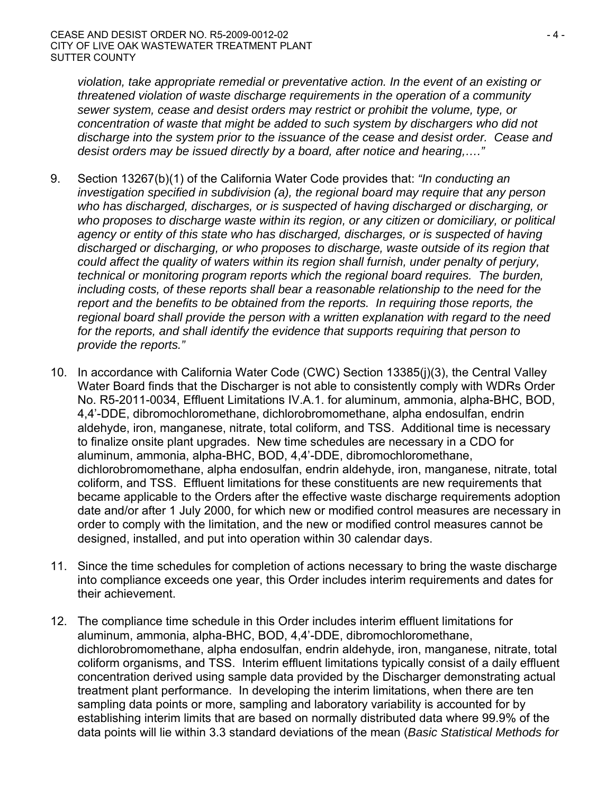*violation, take appropriate remedial or preventative action. In the event of an existing or threatened violation of waste discharge requirements in the operation of a community sewer system, cease and desist orders may restrict or prohibit the volume, type, or concentration of waste that might be added to such system by dischargers who did not discharge into the system prior to the issuance of the cease and desist order. Cease and desist orders may be issued directly by a board, after notice and hearing,…."*

- 9. Section 13267(b)(1) of the California Water Code provides that: *"In conducting an investigation specified in subdivision (a), the regional board may require that any person who has discharged, discharges, or is suspected of having discharged or discharging, or who proposes to discharge waste within its region, or any citizen or domiciliary, or political agency or entity of this state who has discharged, discharges, or is suspected of having discharged or discharging, or who proposes to discharge, waste outside of its region that could affect the quality of waters within its region shall furnish, under penalty of perjury, technical or monitoring program reports which the regional board requires. The burden, including costs, of these reports shall bear a reasonable relationship to the need for the report and the benefits to be obtained from the reports. In requiring those reports, the regional board shall provide the person with a written explanation with regard to the need for the reports, and shall identify the evidence that supports requiring that person to provide the reports."*
- 10. In accordance with California Water Code (CWC) Section 13385(j)(3), the Central Valley Water Board finds that the Discharger is not able to consistently comply with WDRs Order No. R5-2011-0034, Effluent Limitations IV.A.1. for aluminum, ammonia, alpha-BHC, BOD, 4,4'-DDE, dibromochloromethane, dichlorobromomethane, alpha endosulfan, endrin aldehyde, iron, manganese, nitrate, total coliform, and TSS. Additional time is necessary to finalize onsite plant upgrades. New time schedules are necessary in a CDO for aluminum, ammonia, alpha-BHC, BOD, 4,4'-DDE, dibromochloromethane, dichlorobromomethane, alpha endosulfan, endrin aldehyde, iron, manganese, nitrate, total coliform, and TSS. Effluent limitations for these constituents are new requirements that became applicable to the Orders after the effective waste discharge requirements adoption date and/or after 1 July 2000, for which new or modified control measures are necessary in order to comply with the limitation, and the new or modified control measures cannot be designed, installed, and put into operation within 30 calendar days.
- 11. Since the time schedules for completion of actions necessary to bring the waste discharge into compliance exceeds one year, this Order includes interim requirements and dates for their achievement.
- 12. The compliance time schedule in this Order includes interim effluent limitations for aluminum, ammonia, alpha-BHC, BOD, 4,4'-DDE, dibromochloromethane, dichlorobromomethane, alpha endosulfan, endrin aldehyde, iron, manganese, nitrate, total coliform organisms, and TSS. Interim effluent limitations typically consist of a daily effluent concentration derived using sample data provided by the Discharger demonstrating actual treatment plant performance. In developing the interim limitations, when there are ten sampling data points or more, sampling and laboratory variability is accounted for by establishing interim limits that are based on normally distributed data where 99.9% of the data points will lie within 3.3 standard deviations of the mean (*Basic Statistical Methods for*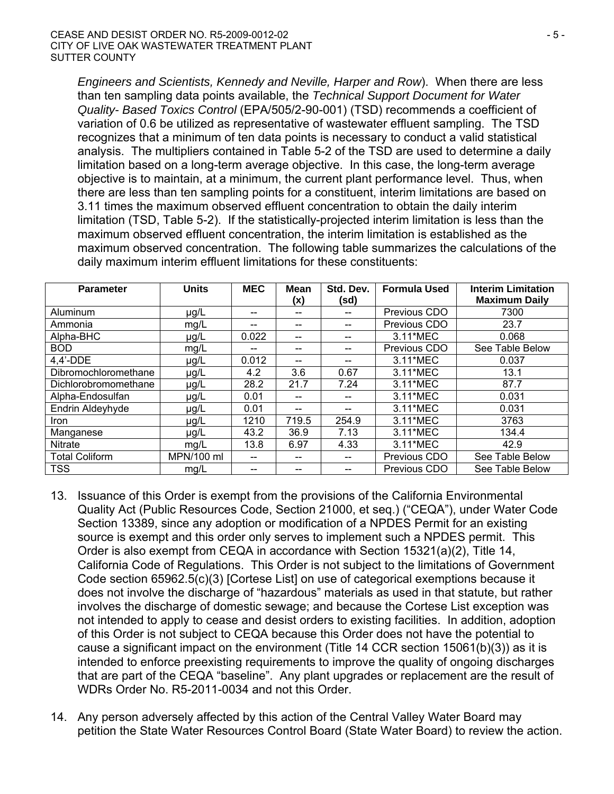*Engineers and Scientists, Kennedy and Neville, Harper and Row*). When there are less than ten sampling data points available, the *Technical Support Document for Water Quality- Based Toxics Control* (EPA/505/2-90-001) (TSD) recommends a coefficient of variation of 0.6 be utilized as representative of wastewater effluent sampling. The TSD recognizes that a minimum of ten data points is necessary to conduct a valid statistical analysis. The multipliers contained in Table 5-2 of the TSD are used to determine a daily limitation based on a long-term average objective. In this case, the long-term average objective is to maintain, at a minimum, the current plant performance level. Thus, when there are less than ten sampling points for a constituent, interim limitations are based on 3.11 times the maximum observed effluent concentration to obtain the daily interim limitation (TSD, Table 5-2). If the statistically-projected interim limitation is less than the maximum observed effluent concentration, the interim limitation is established as the maximum observed concentration. The following table summarizes the calculations of the daily maximum interim effluent limitations for these constituents:

| <b>Parameter</b>        | <b>Units</b> | <b>MEC</b> | <b>Mean</b><br>(x) | Std. Dev.<br>(sd) | <b>Formula Used</b> | <b>Interim Limitation</b><br><b>Maximum Daily</b> |
|-------------------------|--------------|------------|--------------------|-------------------|---------------------|---------------------------------------------------|
| Aluminum                | µg/L         |            |                    |                   | Previous CDO        | 7300                                              |
| Ammonia                 | mg/L         | --         | --                 |                   | Previous CDO        | 23.7                                              |
| Alpha-BHC               | $\mu$ g/L    | 0.022      | --                 | --                | 3.11*MEC            | 0.068                                             |
| <b>BOD</b>              | mg/L         |            | --                 |                   | Previous CDO        | See Table Below                                   |
| $4.4'$ -DDE             | µg/L         | 0.012      | --                 |                   | 3.11*MEC            | 0.037                                             |
| Dibromochloromethane    | $\mu$ g/L    | 4.2        | 3.6                | 0.67              | 3.11*MEC            | 13.1                                              |
| Dichlorobromomethane    | µg/L         | 28.2       | 21.7               | 7.24              | 3.11*MEC            | 87.7                                              |
| Alpha-Endosulfan        | µg/L         | 0.01       | --                 | --                | 3.11*MEC            | 0.031                                             |
| <b>Endrin Aldeyhyde</b> | $\mu$ g/L    | 0.01       | --                 | --                | 3.11*MEC            | 0.031                                             |
| <b>Iron</b>             | µg/L         | 1210       | 719.5              | 254.9             | 3.11*MEC            | 3763                                              |
| Manganese               | $\mu$ g/L    | 43.2       | 36.9               | 7.13              | 3.11*MEC            | 134.4                                             |
| Nitrate                 | mg/L         | 13.8       | 6.97               | 4.33              | 3.11*MEC            | 42.9                                              |
| <b>Total Coliform</b>   | MPN/100 ml   |            | --                 | --                | Previous CDO        | See Table Below                                   |
| <b>TSS</b>              | mg/L         |            |                    |                   | Previous CDO        | See Table Below                                   |

- 13. Issuance of this Order is exempt from the provisions of the California Environmental Quality Act (Public Resources Code, Section 21000, et seq.) ("CEQA"), under Water Code Section 13389, since any adoption or modification of a NPDES Permit for an existing source is exempt and this order only serves to implement such a NPDES permit. This Order is also exempt from CEQA in accordance with Section 15321(a)(2), Title 14, California Code of Regulations. This Order is not subject to the limitations of Government Code section 65962.5(c)(3) [Cortese List] on use of categorical exemptions because it does not involve the discharge of "hazardous" materials as used in that statute, but rather involves the discharge of domestic sewage; and because the Cortese List exception was not intended to apply to cease and desist orders to existing facilities. In addition, adoption of this Order is not subject to CEQA because this Order does not have the potential to cause a significant impact on the environment (Title 14 CCR section 15061(b)(3)) as it is intended to enforce preexisting requirements to improve the quality of ongoing discharges that are part of the CEQA "baseline". Any plant upgrades or replacement are the result of WDRs Order No. R5-2011-0034 and not this Order.
- 14. Any person adversely affected by this action of the Central Valley Water Board may petition the State Water Resources Control Board (State Water Board) to review the action.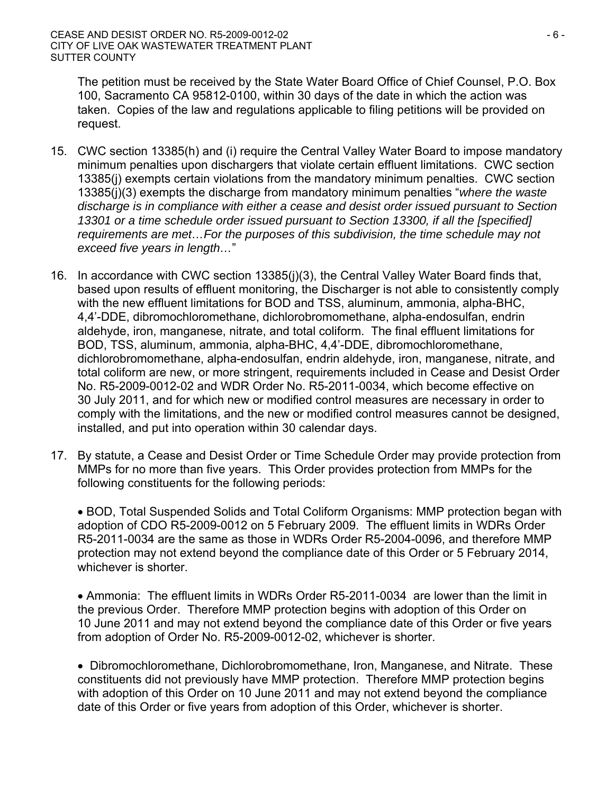The petition must be received by the State Water Board Office of Chief Counsel, P.O. Box 100, Sacramento CA 95812-0100, within 30 days of the date in which the action was taken. Copies of the law and regulations applicable to filing petitions will be provided on request.

- 15. CWC section 13385(h) and (i) require the Central Valley Water Board to impose mandatory minimum penalties upon dischargers that violate certain effluent limitations. CWC section 13385(j) exempts certain violations from the mandatory minimum penalties. CWC section 13385(j)(3) exempts the discharge from mandatory minimum penalties "*where the waste discharge is in compliance with either a cease and desist order issued pursuant to Section 13301 or a time schedule order issued pursuant to Section 13300, if all the [specified] requirements are met…For the purposes of this subdivision, the time schedule may not exceed five years in length…*"
- 16. In accordance with CWC section 13385(j)(3), the Central Valley Water Board finds that, based upon results of effluent monitoring, the Discharger is not able to consistently comply with the new effluent limitations for BOD and TSS, aluminum, ammonia, alpha-BHC, 4,4'-DDE, dibromochloromethane, dichlorobromomethane, alpha-endosulfan, endrin aldehyde, iron, manganese, nitrate, and total coliform. The final effluent limitations for BOD, TSS, aluminum, ammonia, alpha-BHC, 4,4'-DDE, dibromochloromethane, dichlorobromomethane, alpha-endosulfan, endrin aldehyde, iron, manganese, nitrate, and total coliform are new, or more stringent, requirements included in Cease and Desist Order No. R5-2009-0012-02 and WDR Order No. R5-2011-0034, which become effective on 30 July 2011, and for which new or modified control measures are necessary in order to comply with the limitations, and the new or modified control measures cannot be designed, installed, and put into operation within 30 calendar days.
- 17. By statute, a Cease and Desist Order or Time Schedule Order may provide protection from MMPs for no more than five years. This Order provides protection from MMPs for the following constituents for the following periods:

 BOD, Total Suspended Solids and Total Coliform Organisms: MMP protection began with adoption of CDO R5-2009-0012 on 5 February 2009. The effluent limits in WDRs Order R5-2011-0034 are the same as those in WDRs Order R5-2004-0096, and therefore MMP protection may not extend beyond the compliance date of this Order or 5 February 2014, whichever is shorter.

 Ammonia: The effluent limits in WDRs Order R5-2011-0034 are lower than the limit in the previous Order. Therefore MMP protection begins with adoption of this Order on 10 June 2011 and may not extend beyond the compliance date of this Order or five years from adoption of Order No. R5-2009-0012-02, whichever is shorter.

• Dibromochloromethane, Dichlorobromomethane, Iron, Manganese, and Nitrate. These constituents did not previously have MMP protection. Therefore MMP protection begins with adoption of this Order on 10 June 2011 and may not extend beyond the compliance date of this Order or five years from adoption of this Order, whichever is shorter.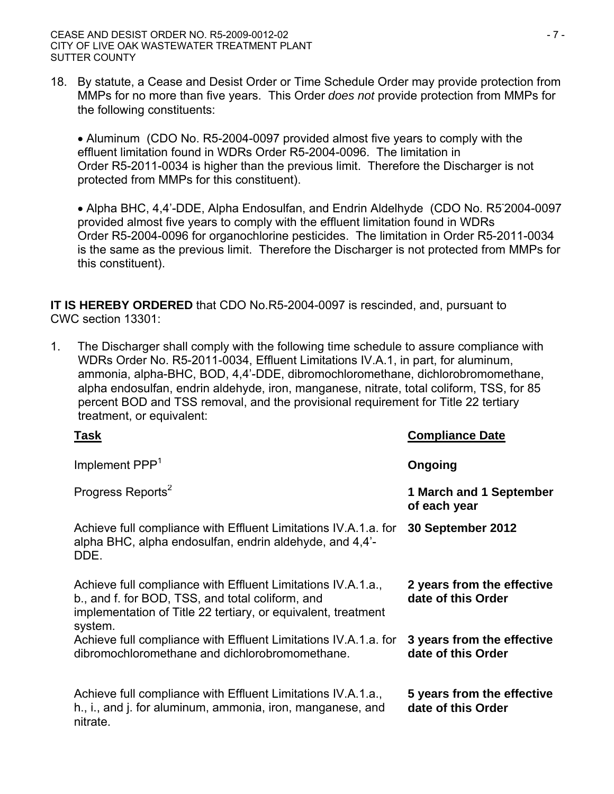18. By statute, a Cease and Desist Order or Time Schedule Order may provide protection from MMPs for no more than five years. This Order *does not* provide protection from MMPs for the following constituents:

 Aluminum (CDO No. R5-2004-0097 provided almost five years to comply with the effluent limitation found in WDRs Order R5-2004-0096. The limitation in Order R5-2011-0034 is higher than the previous limit. Therefore the Discharger is not protected from MMPs for this constituent).

 Alpha BHC, 4,4'-DDE, Alpha Endosulfan, and Endrin Aldelhyde (CDO No. R5- 2004-0097 provided almost five years to comply with the effluent limitation found in WDRs Order R5-2004-0096 for organochlorine pesticides. The limitation in Order R5-2011-0034 is the same as the previous limit. Therefore the Discharger is not protected from MMPs for this constituent).

**IT IS HEREBY ORDERED** that CDO No.R5-2004-0097 is rescinded, and, pursuant to CWC section 13301:

1. The Discharger shall comply with the following time schedule to assure compliance with WDRs Order No. R5-2011-0034, Effluent Limitations IV.A.1, in part, for aluminum, ammonia, alpha-BHC, BOD, 4,4'-DDE, dibromochloromethane, dichlorobromomethane, alpha endosulfan, endrin aldehyde, iron, manganese, nitrate, total coliform, TSS, for 85 percent BOD and TSS removal, and the provisional requirement for Title 22 tertiary treatment, or equivalent:

| <u>Task</u>                                                                                                                                                                                  | <b>Compliance Date</b>                           |
|----------------------------------------------------------------------------------------------------------------------------------------------------------------------------------------------|--------------------------------------------------|
| Implement PPP <sup>1</sup>                                                                                                                                                                   | Ongoing                                          |
| Progress Reports <sup>2</sup>                                                                                                                                                                | 1 March and 1 September<br>of each year          |
| Achieve full compliance with Effluent Limitations IV.A.1.a. for<br>alpha BHC, alpha endosulfan, endrin aldehyde, and 4,4'-<br>DDE.                                                           | 30 September 2012                                |
| Achieve full compliance with Effluent Limitations IV.A.1.a.,<br>b., and f. for BOD, TSS, and total coliform, and<br>implementation of Title 22 tertiary, or equivalent, treatment<br>system. | 2 years from the effective<br>date of this Order |
| Achieve full compliance with Effluent Limitations IV.A.1.a. for<br>dibromochloromethane and dichlorobromomethane.                                                                            | 3 years from the effective<br>date of this Order |
| Achieve full compliance with Effluent Limitations IV.A.1.a.,<br>h., i., and j. for aluminum, ammonia, iron, manganese, and<br>nitrate.                                                       | 5 years from the effective<br>date of this Order |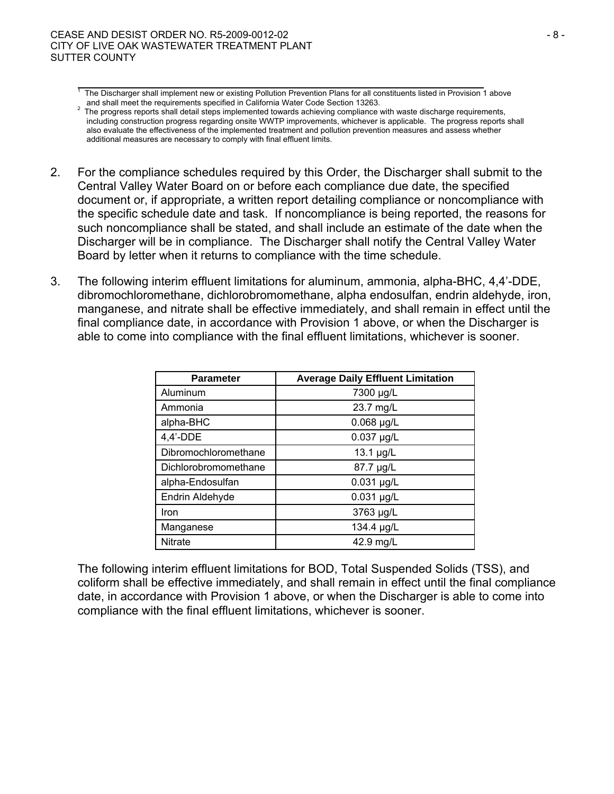- 2. For the compliance schedules required by this Order, the Discharger shall submit to the Central Valley Water Board on or before each compliance due date, the specified document or, if appropriate, a written report detailing compliance or noncompliance with the specific schedule date and task. If noncompliance is being reported, the reasons for such noncompliance shall be stated, and shall include an estimate of the date when the Discharger will be in compliance. The Discharger shall notify the Central Valley Water Board by letter when it returns to compliance with the time schedule.
- 3. The following interim effluent limitations for aluminum, ammonia, alpha-BHC, 4,4'-DDE, dibromochloromethane, dichlorobromomethane, alpha endosulfan, endrin aldehyde, iron, manganese, and nitrate shall be effective immediately, and shall remain in effect until the final compliance date, in accordance with Provision 1 above, or when the Discharger is able to come into compliance with the final effluent limitations, whichever is sooner.

| <b>Parameter</b>     | <b>Average Daily Effluent Limitation</b> |  |  |  |  |
|----------------------|------------------------------------------|--|--|--|--|
| Aluminum             | 7300 µg/L                                |  |  |  |  |
| Ammonia              | 23.7 mg/L                                |  |  |  |  |
| alpha-BHC            | $0.068$ µg/L                             |  |  |  |  |
| $4,4'$ -DDE          | 0.037 µg/L                               |  |  |  |  |
| Dibromochloromethane | 13.1 µg/L                                |  |  |  |  |
| Dichlorobromomethane | 87.7 µg/L                                |  |  |  |  |
| alpha-Endosulfan     | $0.031$ µg/L                             |  |  |  |  |
| Endrin Aldehyde      | $0.031$ µg/L                             |  |  |  |  |
| Iron                 | 3763 µg/L                                |  |  |  |  |
| Manganese            | 134.4 µg/L                               |  |  |  |  |
| <b>Nitrate</b>       | 42.9 mg/L                                |  |  |  |  |

The following interim effluent limitations for BOD, Total Suspended Solids (TSS), and coliform shall be effective immediately, and shall remain in effect until the final compliance date, in accordance with Provision 1 above, or when the Discharger is able to come into compliance with the final effluent limitations, whichever is sooner.

<sup>.&</sup>lt;br>1  $<sup>1</sup>$  The Discharger shall implement new or existing Pollution Prevention Plans for all constituents listed in Provision 1 above</sup>

and shall meet the requirements specified in California Water Code Section 13263.<br>The progress reports shall detail steps implemented towards achieving compliance with waste discharge requirements, including construction progress regarding onsite WWTP improvements, whichever is applicable. The progress reports shall also evaluate the effectiveness of the implemented treatment and pollution prevention measures and assess whether additional measures are necessary to comply with final effluent limits.